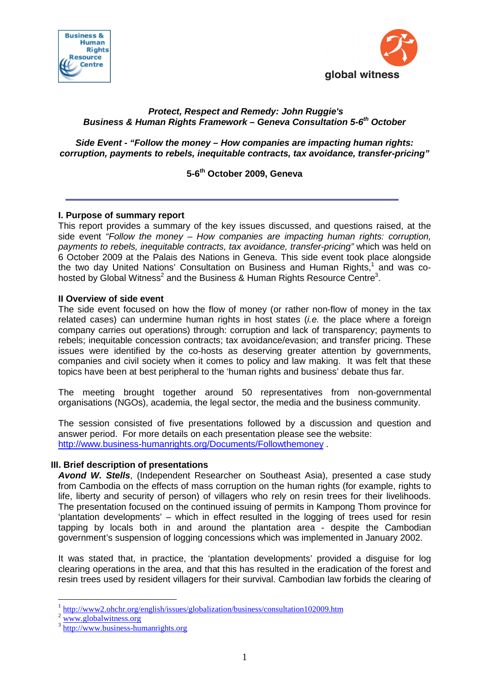



# **Protect, Respect and Remedy: John Ruggie's Business & Human Rights Framework – Geneva Consultation 5-6th October**

**Side Event - "Follow the money – How companies are impacting human rights: corruption, payments to rebels, inequitable contracts, tax avoidance, transfer-pricing"** 

**5-6th October 2009, Geneva** 

## **I. Purpose of summary report**

This report provides a summary of the key issues discussed, and questions raised, at the side event "Follow the money – How companies are impacting human rights: corruption, payments to rebels, inequitable contracts, tax avoidance, transfer-pricing" which was held on 6 October 2009 at the Palais des Nations in Geneva. This side event took place alongside the two day United Nations' Consultation on Business and Human Rights,<sup>1</sup> and was cohosted by Global Witness<sup>2</sup> and the Business & Human Rights Resource Centre<sup>3</sup>.

### **II Overview of side event**

The side event focused on how the flow of money (or rather non-flow of money in the tax related cases) can undermine human rights in host states (*i.e.* the place where a foreign company carries out operations) through: corruption and lack of transparency; payments to rebels; inequitable concession contracts; tax avoidance/evasion; and transfer pricing. These issues were identified by the co-hosts as deserving greater attention by governments, companies and civil society when it comes to policy and law making. It was felt that these topics have been at best peripheral to the 'human rights and business' debate thus far.

The meeting brought together around 50 representatives from non-governmental organisations (NGOs), academia, the legal sector, the media and the business community.

The session consisted of five presentations followed by a discussion and question and answer period. For more details on each presentation please see the website: http://www.business-humanrights.org/Documents/Followthemoney .

#### **III. Brief description of presentations**

**Avond W. Stells**, (Independent Researcher on Southeast Asia), presented a case study from Cambodia on the effects of mass corruption on the human rights (for example, rights to life, liberty and security of person) of villagers who rely on resin trees for their livelihoods. The presentation focused on the continued issuing of permits in Kampong Thom province for 'plantation developments' – which in effect resulted in the logging of trees used for resin tapping by locals both in and around the plantation area - despite the Cambodian government's suspension of logging concessions which was implemented in January 2002.

It was stated that, in practice, the 'plantation developments' provided a disguise for log clearing operations in the area, and that this has resulted in the eradication of the forest and resin trees used by resident villagers for their survival. Cambodian law forbids the clearing of

 $\overline{a}$ 

<sup>1</sup> http://www2.ohchr.org/english/issues/globalization/business/consultation102009.htm

 $2 \frac{\text{www.globalwitness.org}}{$ 

<sup>3</sup> http://www.business-humanrights.org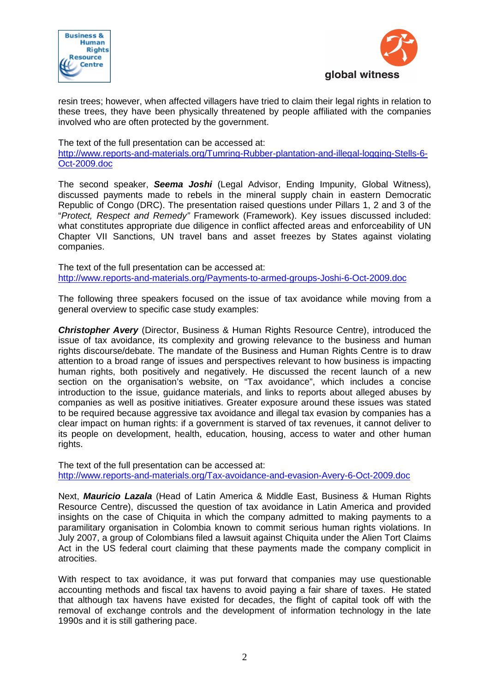



resin trees; however, when affected villagers have tried to claim their legal rights in relation to these trees, they have been physically threatened by people affiliated with the companies involved who are often protected by the government.

The text of the full presentation can be accessed at: http://www.reports-and-materials.org/Tumring-Rubber-plantation-and-illegal-logging-Stells-6- Oct-2009.doc

The second speaker, **Seema Joshi** (Legal Advisor, Ending Impunity, Global Witness), discussed payments made to rebels in the mineral supply chain in eastern Democratic Republic of Congo (DRC). The presentation raised questions under Pillars 1, 2 and 3 of the "Protect, Respect and Remedy" Framework (Framework). Key issues discussed included: what constitutes appropriate due diligence in conflict affected areas and enforceability of UN Chapter VII Sanctions, UN travel bans and asset freezes by States against violating companies.

The text of the full presentation can be accessed at: http://www.reports-and-materials.org/Payments-to-armed-groups-Joshi-6-Oct-2009.doc

The following three speakers focused on the issue of tax avoidance while moving from a general overview to specific case study examples:

**Christopher Avery** (Director, Business & Human Rights Resource Centre), introduced the issue of tax avoidance, its complexity and growing relevance to the business and human rights discourse/debate. The mandate of the Business and Human Rights Centre is to draw attention to a broad range of issues and perspectives relevant to how business is impacting human rights, both positively and negatively. He discussed the recent launch of a new section on the organisation's website, on "Tax avoidance", which includes a concise introduction to the issue, guidance materials, and links to reports about alleged abuses by companies as well as positive initiatives. Greater exposure around these issues was stated to be required because aggressive tax avoidance and illegal tax evasion by companies has a clear impact on human rights: if a government is starved of tax revenues, it cannot deliver to its people on development, health, education, housing, access to water and other human rights.

The text of the full presentation can be accessed at: http://www.reports-and-materials.org/Tax-avoidance-and-evasion-Avery-6-Oct-2009.doc

Next, **Mauricio Lazala** (Head of Latin America & Middle East, Business & Human Rights Resource Centre), discussed the question of tax avoidance in Latin America and provided insights on the case of Chiquita in which the company admitted to making payments to a paramilitary organisation in Colombia known to commit serious human rights violations. In July 2007, a group of Colombians filed a lawsuit against Chiquita under the Alien Tort Claims Act in the US federal court claiming that these payments made the company complicit in atrocities.

With respect to tax avoidance, it was put forward that companies may use questionable accounting methods and fiscal tax havens to avoid paying a fair share of taxes. He stated that although tax havens have existed for decades, the flight of capital took off with the removal of exchange controls and the development of information technology in the late 1990s and it is still gathering pace.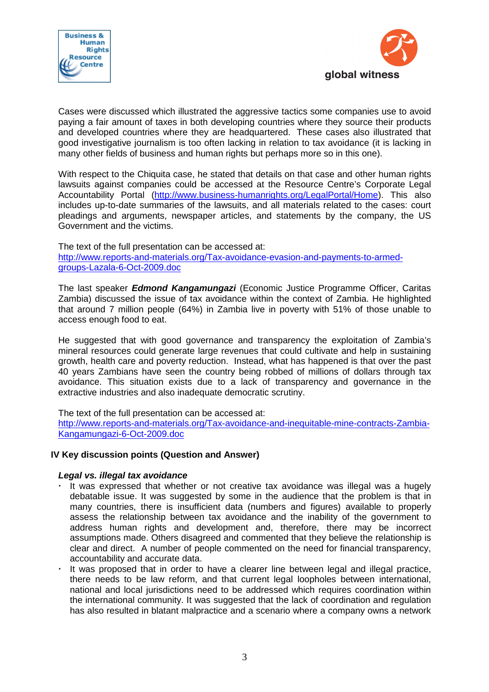



Cases were discussed which illustrated the aggressive tactics some companies use to avoid paying a fair amount of taxes in both developing countries where they source their products and developed countries where they are headquartered. These cases also illustrated that good investigative journalism is too often lacking in relation to tax avoidance (it is lacking in many other fields of business and human rights but perhaps more so in this one).

With respect to the Chiquita case, he stated that details on that case and other human rights lawsuits against companies could be accessed at the Resource Centre's Corporate Legal Accountability Portal (http://www.business-humanrights.org/LegalPortal/Home). This also includes up-to-date summaries of the lawsuits, and all materials related to the cases: court pleadings and arguments, newspaper articles, and statements by the company, the US Government and the victims.

The text of the full presentation can be accessed at: http://www.reports-and-materials.org/Tax-avoidance-evasion-and-payments-to-armedgroups-Lazala-6-Oct-2009.doc

The last speaker **Edmond Kangamungazi** (Economic Justice Programme Officer, Caritas Zambia) discussed the issue of tax avoidance within the context of Zambia. He highlighted that around 7 million people (64%) in Zambia live in poverty with 51% of those unable to access enough food to eat.

He suggested that with good governance and transparency the exploitation of Zambia's mineral resources could generate large revenues that could cultivate and help in sustaining growth, health care and poverty reduction. Instead, what has happened is that over the past 40 years Zambians have seen the country being robbed of millions of dollars through tax avoidance. This situation exists due to a lack of transparency and governance in the extractive industries and also inadequate democratic scrutiny.

The text of the full presentation can be accessed at:

http://www.reports-and-materials.org/Tax-avoidance-and-inequitable-mine-contracts-Zambia-Kangamungazi-6-Oct-2009.doc

## **IV Key discussion points (Question and Answer)**

## **Legal vs. illegal tax avoidance**

- It was expressed that whether or not creative tax avoidance was illegal was a hugely debatable issue. It was suggested by some in the audience that the problem is that in many countries, there is insufficient data (numbers and figures) available to properly assess the relationship between tax avoidance and the inability of the government to address human rights and development and, therefore, there may be incorrect assumptions made. Others disagreed and commented that they believe the relationship is clear and direct. A number of people commented on the need for financial transparency, accountability and accurate data.
- It was proposed that in order to have a clearer line between legal and illegal practice, there needs to be law reform, and that current legal loopholes between international, national and local jurisdictions need to be addressed which requires coordination within the international community. It was suggested that the lack of coordination and regulation has also resulted in blatant malpractice and a scenario where a company owns a network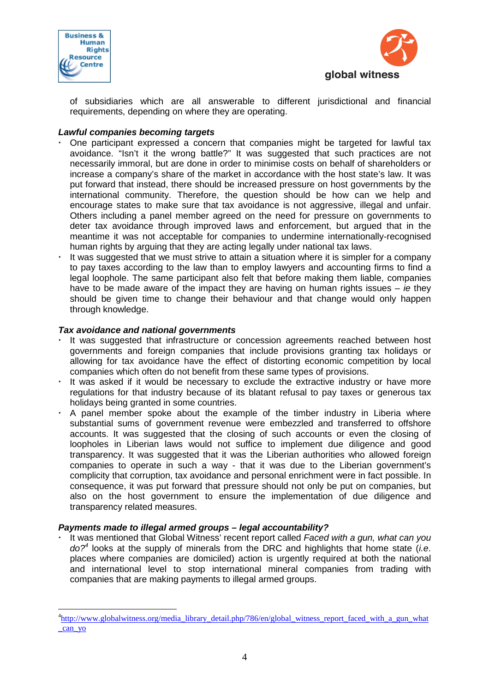

 $\overline{a}$ 



of subsidiaries which are all answerable to different jurisdictional and financial requirements, depending on where they are operating.

### **Lawful companies becoming targets**

- One participant expressed a concern that companies might be targeted for lawful tax avoidance. "Isn't it the wrong battle?" It was suggested that such practices are not necessarily immoral, but are done in order to minimise costs on behalf of shareholders or increase a company's share of the market in accordance with the host state's law. It was put forward that instead, there should be increased pressure on host governments by the international community. Therefore, the question should be how can we help and encourage states to make sure that tax avoidance is not aggressive, illegal and unfair. Others including a panel member agreed on the need for pressure on governments to deter tax avoidance through improved laws and enforcement, but argued that in the meantime it was not acceptable for companies to undermine internationally-recognised human rights by arguing that they are acting legally under national tax laws.
- It was suggested that we must strive to attain a situation where it is simpler for a company to pay taxes according to the law than to employ lawyers and accounting firms to find a legal loophole. The same participant also felt that before making them liable, companies have to be made aware of the impact they are having on human rights issues  $-$  ie they should be given time to change their behaviour and that change would only happen through knowledge.

### **Tax avoidance and national governments**

- It was suggested that infrastructure or concession agreements reached between host governments and foreign companies that include provisions granting tax holidays or allowing for tax avoidance have the effect of distorting economic competition by local companies which often do not benefit from these same types of provisions.
- It was asked if it would be necessary to exclude the extractive industry or have more regulations for that industry because of its blatant refusal to pay taxes or generous tax holidays being granted in some countries.
- A panel member spoke about the example of the timber industry in Liberia where substantial sums of government revenue were embezzled and transferred to offshore accounts. It was suggested that the closing of such accounts or even the closing of loopholes in Liberian laws would not suffice to implement due diligence and good transparency. It was suggested that it was the Liberian authorities who allowed foreign companies to operate in such a way - that it was due to the Liberian government's complicity that corruption, tax avoidance and personal enrichment were in fact possible. In consequence, it was put forward that pressure should not only be put on companies, but also on the host government to ensure the implementation of due diligence and transparency related measures.

## **Payments made to illegal armed groups – legal accountability?**

 It was mentioned that Global Witness' recent report called Faced with a gun, what can you  $do?$ <sup>4</sup> looks at the supply of minerals from the DRC and highlights that home state (i.e. places where companies are domiciled) action is urgently required at both the national and international level to stop international mineral companies from trading with companies that are making payments to illegal armed groups.

<sup>&</sup>lt;sup>4</sup>http://www.globalwitness.org/media\_library\_detail.php/786/en/global\_witness\_report\_faced\_with\_a\_gun\_what \_can\_yo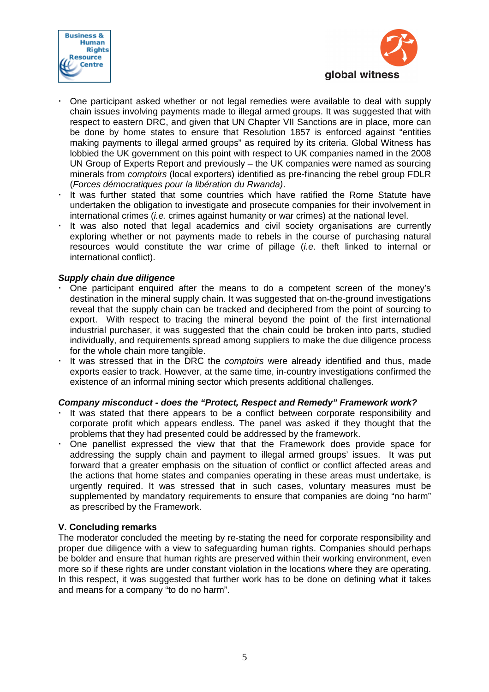



- One participant asked whether or not legal remedies were available to deal with supply chain issues involving payments made to illegal armed groups. It was suggested that with respect to eastern DRC, and given that UN Chapter VII Sanctions are in place, more can be done by home states to ensure that Resolution 1857 is enforced against "entities making payments to illegal armed groups" as required by its criteria. Global Witness has lobbied the UK government on this point with respect to UK companies named in the 2008 UN Group of Experts Report and previously – the UK companies were named as sourcing minerals from comptoirs (local exporters) identified as pre-financing the rebel group FDLR (Forces démocratiques pour la libération du Rwanda).
- It was further stated that some countries which have ratified the Rome Statute have undertaken the obligation to investigate and prosecute companies for their involvement in international crimes (i.e. crimes against humanity or war crimes) at the national level.
- It was also noted that legal academics and civil society organisations are currently exploring whether or not payments made to rebels in the course of purchasing natural resources would constitute the war crime of pillage  $(i.e.$  theft linked to internal or international conflict).

## **Supply chain due diligence**

- One participant enquired after the means to do a competent screen of the money's destination in the mineral supply chain. It was suggested that on-the-ground investigations reveal that the supply chain can be tracked and deciphered from the point of sourcing to export. With respect to tracing the mineral beyond the point of the first international industrial purchaser, it was suggested that the chain could be broken into parts, studied individually, and requirements spread among suppliers to make the due diligence process for the whole chain more tangible.
- It was stressed that in the DRC the comptoirs were already identified and thus, made exports easier to track. However, at the same time, in-country investigations confirmed the existence of an informal mining sector which presents additional challenges.

### **Company misconduct - does the "Protect, Respect and Remedy" Framework work?**

- It was stated that there appears to be a conflict between corporate responsibility and corporate profit which appears endless. The panel was asked if they thought that the problems that they had presented could be addressed by the framework.
- One panellist expressed the view that that the Framework does provide space for addressing the supply chain and payment to illegal armed groups' issues. It was put forward that a greater emphasis on the situation of conflict or conflict affected areas and the actions that home states and companies operating in these areas must undertake, is urgently required. It was stressed that in such cases, voluntary measures must be supplemented by mandatory requirements to ensure that companies are doing "no harm" as prescribed by the Framework.

## **V. Concluding remarks**

The moderator concluded the meeting by re-stating the need for corporate responsibility and proper due diligence with a view to safeguarding human rights. Companies should perhaps be bolder and ensure that human rights are preserved within their working environment, even more so if these rights are under constant violation in the locations where they are operating. In this respect, it was suggested that further work has to be done on defining what it takes and means for a company "to do no harm".